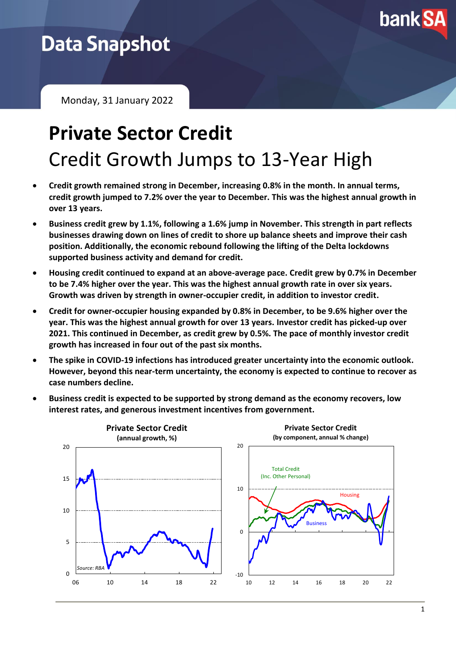

# **Data Snapshot**

Monday, 31 January 2022

# **Private Sector Credit** Credit Growth Jumps to 13-Year High

- **Credit growth remained strong in December, increasing 0.8% in the month. In annual terms, credit growth jumped to 7.2% over the year to December. This was the highest annual growth in over 13 years.**
- **Business credit grew by 1.1%, following a 1.6% jump in November. This strength in part reflects businesses drawing down on lines of credit to shore up balance sheets and improve their cash position. Additionally, the economic rebound following the lifting of the Delta lockdowns supported business activity and demand for credit.**
- **Housing credit continued to expand at an above-average pace. Credit grew by 0.7% in December to be 7.4% higher over the year. This was the highest annual growth rate in over six years. Growth was driven by strength in owner-occupier credit, in addition to investor credit.**
- **Credit for owner-occupier housing expanded by 0.8% in December, to be 9.6% higher over the year. This was the highest annual growth for over 13 years. Investor credit has picked-up over 2021. This continued in December, as credit grew by 0.5%. The pace of monthly investor credit growth has increased in four out of the past six months.**
- **The spike in COVID-19 infections has introduced greater uncertainty into the economic outlook. However, beyond this near-term uncertainty, the economy is expected to continue to recover as case numbers decline.**



• **Business credit is expected to be supported by strong demand as the economy recovers, low interest rates, and generous investment incentives from government.**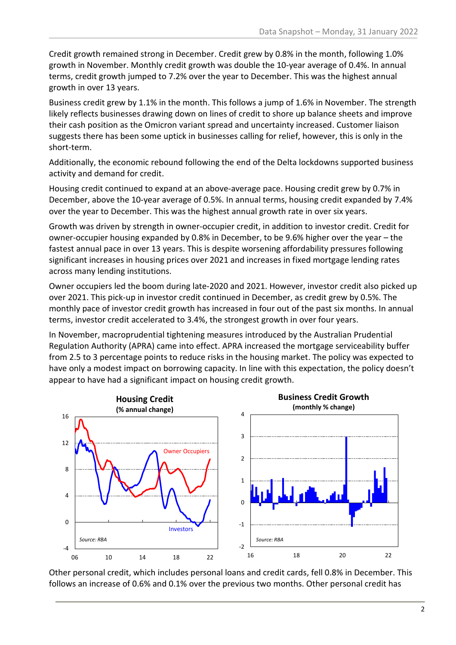Credit growth remained strong in December. Credit grew by 0.8% in the month, following 1.0% growth in November. Monthly credit growth was double the 10-year average of 0.4%. In annual terms, credit growth jumped to 7.2% over the year to December. This was the highest annual growth in over 13 years.

Business credit grew by 1.1% in the month. This follows a jump of 1.6% in November. The strength likely reflects businesses drawing down on lines of credit to shore up balance sheets and improve their cash position as the Omicron variant spread and uncertainty increased. Customer liaison suggests there has been some uptick in businesses calling for relief, however, this is only in the short-term.

Additionally, the economic rebound following the end of the Delta lockdowns supported business activity and demand for credit.

Housing credit continued to expand at an above-average pace. Housing credit grew by 0.7% in December, above the 10-year average of 0.5%. In annual terms, housing credit expanded by 7.4% over the year to December. This was the highest annual growth rate in over six years.

Growth was driven by strength in owner-occupier credit, in addition to investor credit. Credit for owner-occupier housing expanded by 0.8% in December, to be 9.6% higher over the year – the fastest annual pace in over 13 years. This is despite worsening affordability pressures following significant increases in housing prices over 2021 and increases in fixed mortgage lending rates across many lending institutions.

Owner occupiers led the boom during late-2020 and 2021. However, investor credit also picked up over 2021. This pick-up in investor credit continued in December, as credit grew by 0.5%. The monthly pace of investor credit growth has increased in four out of the past six months. In annual terms, investor credit accelerated to 3.4%, the strongest growth in over four years.

In November, macroprudential tightening measures introduced by the Australian Prudential Regulation Authority (APRA) came into effect. APRA increased the mortgage serviceability buffer from 2.5 to 3 percentage points to reduce risks in the housing market. The policy was expected to have only a modest impact on borrowing capacity. In line with this expectation, the policy doesn't appear to have had a significant impact on housing credit growth.



Other personal credit, which includes personal loans and credit cards, fell 0.8% in December. This follows an increase of 0.6% and 0.1% over the previous two months. Other personal credit has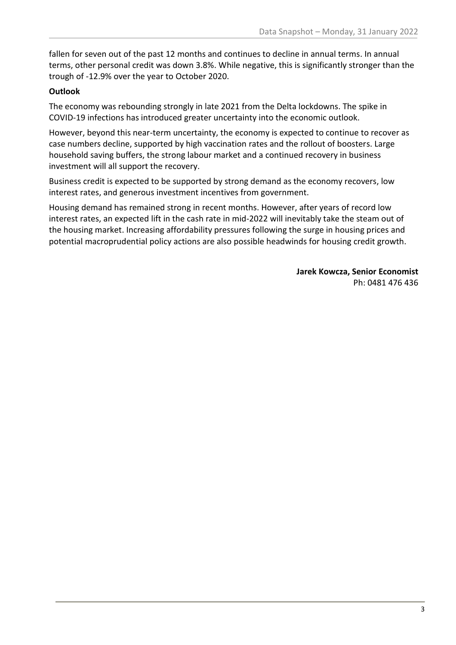fallen for seven out of the past 12 months and continues to decline in annual terms. In annual terms, other personal credit was down 3.8%. While negative, this is significantly stronger than the trough of -12.9% over the year to October 2020.

## **Outlook**

The economy was rebounding strongly in late 2021 from the Delta lockdowns. The spike in COVID-19 infections has introduced greater uncertainty into the economic outlook.

However, beyond this near-term uncertainty, the economy is expected to continue to recover as case numbers decline, supported by high vaccination rates and the rollout of boosters. Large household saving buffers, the strong labour market and a continued recovery in business investment will all support the recovery.

Business credit is expected to be supported by strong demand as the economy recovers, low interest rates, and generous investment incentives from government.

Housing demand has remained strong in recent months. However, after years of record low interest rates, an expected lift in the cash rate in mid-2022 will inevitably take the steam out of the housing market. Increasing affordability pressures following the surge in housing prices and potential macroprudential policy actions are also possible headwinds for housing credit growth.

> **Jarek Kowcza, Senior Economist** Ph: 0481 476 436